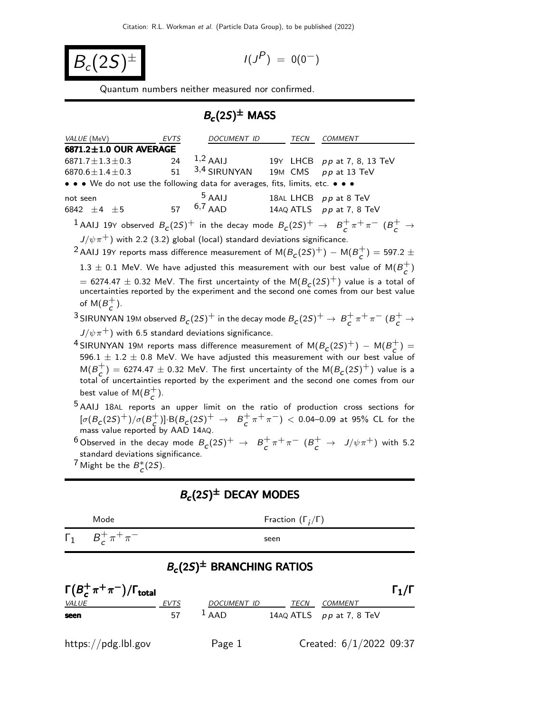$$
B_c(2S)^{\pm}
$$

$$
I(J^P) = 0(0^-)
$$

Quantum numbers neither measured nor confirmed.

## $B_c(2S)^{\pm}$  MASS

| VALUE (MeV)                                                                                                                                   | EVTS | <i>DOCUMENT ID</i>          |  | TECN | <i>COMMENT</i>                                                                                                                                                                         |  |  |  |  |
|-----------------------------------------------------------------------------------------------------------------------------------------------|------|-----------------------------|--|------|----------------------------------------------------------------------------------------------------------------------------------------------------------------------------------------|--|--|--|--|
| $6871.2 \pm 1.0$ OUR AVERAGE                                                                                                                  |      |                             |  |      |                                                                                                                                                                                        |  |  |  |  |
| $6871.7 \pm 1.3 \pm 0.3$                                                                                                                      | 24   | $1,2$ AAIJ                  |  |      | 19Y LHCB pp at 7, 8, 13 TeV                                                                                                                                                            |  |  |  |  |
| 6870.6 $\pm$ 1.4 $\pm$ 0.3                                                                                                                    | 51   | 3,4 SIRUNYAN                |  |      | 19M CMS pp at 13 TeV                                                                                                                                                                   |  |  |  |  |
| • • • We do not use the following data for averages, fits, limits, etc. • • •                                                                 |      |                             |  |      |                                                                                                                                                                                        |  |  |  |  |
| not seen<br>6842 $\pm 4$ $\pm 5$                                                                                                              |      | $5$ AAIJ<br>57 $^{6,7}$ AAD |  |      | 18AL LHCB pp at 8 TeV<br>14AQ ATLS pp at 7, 8 TeV                                                                                                                                      |  |  |  |  |
|                                                                                                                                               |      |                             |  |      | <sup>1</sup> AAIJ 19Y observed $B_c(2S)^+$ in the decay mode $B_c(2S)^+$ $\rightarrow$ $B_c^+\pi^+\pi^ (B_c^+\rightarrow$                                                              |  |  |  |  |
| $J/\psi \pi^+$ ) with 2.2 (3.2) global (local) standard deviations significance.                                                              |      |                             |  |      |                                                                                                                                                                                        |  |  |  |  |
| <sup>2</sup> AAIJ 19Y reports mass difference measurement of M(B <sub>C</sub> (2S) <sup>+</sup> ) – M(B <sup>+</sup> <sub>C</sub> ) = 597.2 ± |      |                             |  |      |                                                                                                                                                                                        |  |  |  |  |
| 1.3 $\pm$ 0.1 MeV. We have adjusted this measurement with our best value of M( $B_{\sim}^{+}$ )                                               |      |                             |  |      |                                                                                                                                                                                        |  |  |  |  |
| of M $(B_{c}^{+})$ .                                                                                                                          |      |                             |  |      | $=$ 6274.47 $\pm$ 0.32 MeV. The first uncertainty of the M( $B_c(2S)^+$ ) value is a total of<br>uncertainties reported by the experiment and the second one comes from our best value |  |  |  |  |
|                                                                                                                                               |      |                             |  |      | <sup>3</sup> SIRUNYAN 19M observed $B_c(2S)^+$ in the decay mode $B_c(2S)^+ \to B_c^+\pi^+\pi^-$ ( $B_c^+ \to B_c^-$                                                                   |  |  |  |  |

 $J/\psi\pi^+$ ) with 6.5 standard deviations significance.

 $^4$ SIRUNYAN 19M reports mass difference measurement of  $\mathsf{M}(B_\mathcal{C}(2S)^+)$   $\mathsf{M}(B_\mathcal{C}^+)$  $\begin{pmatrix} + \\ c \end{pmatrix} =$ 596.1  $\pm$  1.2  $\pm$  0.8 MeV. We have adjusted this measurement with our best value of  $M(B_{c}^{+})$  $\sigma_c^{\pm}$ ) = 6274.47  $\pm$  0.32 MeV. The first uncertainty of the M $(B_c(2S)^+)$  value is a total of uncertainties reported by the experiment and the second one comes from our best value of  $M(B_7^+)$  $\frac{+}{c}$ ).

5 AAIJ 18AL reports an upper limit on the ratio of production cross sections for  $[\sigma(B_c(2S)^+)/\sigma(B_c^+)$  $(\begin{array}{cc} + \\ C \end{array})$ : B(B<sub>C</sub>(2S)<sup>+</sup>  $\rightarrow$  B<sup>+</sup><sub>C</sub>  $\frac{1}{c} \pi^+ \pi^-$ )  $< 0.04$   $-0.09$  at 95% CL for the mass value reported by AAD 14AQ.

 $^6$ Observed in the decay mode  $B_c(2S)^+\;\rightarrow\;\;B_c^+$  $\frac{1}{c} \pi^+ \pi^ (B_c^+ \to J/\psi \pi^+)$  with 5.2 standard deviations significance.

<sup>7</sup> Might be the  $B_c^*(2S)$ .

## $B_c(2S)^\pm$  DECAY MODES Mode Fraction  $(\Gamma_j/\Gamma)$  $Γ_1$   $B_c^+$  $_{c}^{+}\pi^{+}\pi$ −<br>− seen  $B_c(2S)^\pm$  BRANCHING RATIOS  $\Gamma(B^+_\mathcal{C}$  $\Gamma(B_c^+\pi^+\pi^-)/\Gamma_{\rm total}$  Γ<sub>1</sub>/Γ VALUE **EVTS** DOCUMENT ID TECN COMMENT **seen** 57  $\frac{1}{4}$  AAD 14AQ ATLS pp at 7, 8 TeV

https://pdg.lbl.gov Page 1 Created:  $6/1/2022$  09:37